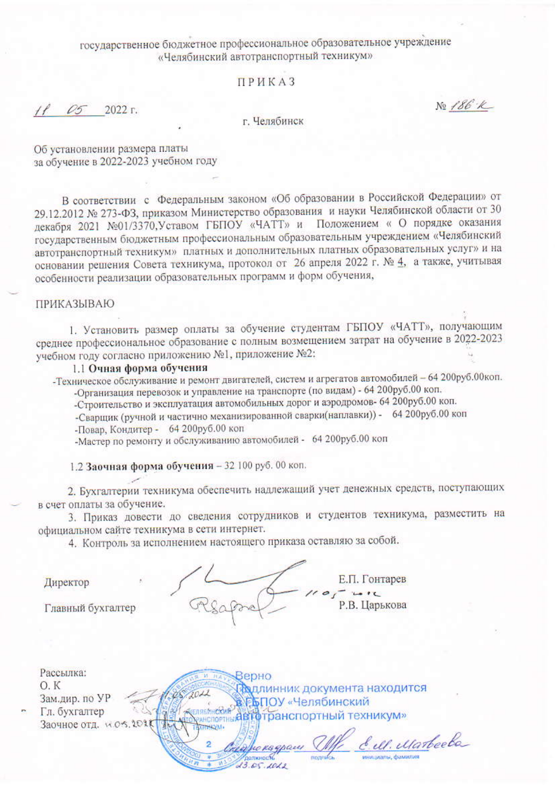### государственное бюджетное профессиональное образовательное учреждение «Челябинский автотранспортный техникум»

#### **ПРИКАЗ**

 $1105$  $2022r$ .

г. Челябинск

Об установлении размера платы за обучение в 2022-2023 учебном году

В соответствии с Федеральным законом «Об образовании в Российской Федерации» от 29.12.2012 № 273-ФЗ, приказом Министерство образования и науки Челябинской области от 30 декабря 2021 №01/3370, Уставом ГБПОУ «ЧАТТ» и Положением « О порядке оказания государственным бюджетным профессиональным образовательным учреждением «Челябинский автотранспортный техникум» платных и дополнительных платных образовательных услуг» и на основании решения Совета техникума, протокол от 26 апреля 2022 г. № 4, а также, учитывая особенности реализации образовательных программ и форм обучения,

#### **ПРИКАЗЫВАЮ**

1. Установить размер оплаты за обучение студентам ГБПОУ «ЧАТТ», получающим среднее профессиональное образование с полным возмещением затрат на обучение в 2022-2023 учебном году согласно приложению №1, приложение №2:

#### 1.1 Очная форма обучения

- Техническое обслуживание и ремонт двигателей, систем и агрегатов автомобилей - 64 200руб.00коп. -Организация перевозок и управление на транспорте (по видам) - 64 200руб.00 коп.

-Строительство и эксплуатация автомобильных дорог и аэродромов- 64 200руб.00 коп.

-Сварщик (ручной и частично механизированной сварки(наплавки)) - 64 200руб.00 коп -Повар, Кондитер - 64 200руб.00 коп

-Мастер по ремонту и обслуживанию автомобилей - 64 200руб.00 коп

1.2 Заочная форма обучения - 32 100 руб. 00 коп.

2011

ЙŃ

2. Бухгалтерии техникума обеспечить надлежащий учет денежных средств, поступающих в счет оплаты за обучение.

3. Приказ довести до сведения сотрудников и студентов техникума, разместить на официальном сайте техникума в сети интернет.

4. Контроль за исполнением настоящего приказа оставляю за собой.

Директор

Е.П. Гонтарев  $-141$ Р.В. Царькова No 186 K

Главный бухгалтер

Рассылка:  $O.K$ Зам.дир. по УР Гл. бухгалтер Заочное отд. № 05.2025

Верно Поллинник документа находится **ВЕБПОУ** «Челябинский явмехия дать сличнокии<br>инспортны**й в готранспортный техникум»** ENRSMHCKMA

E. Il. Marbeele  $13.05.1012$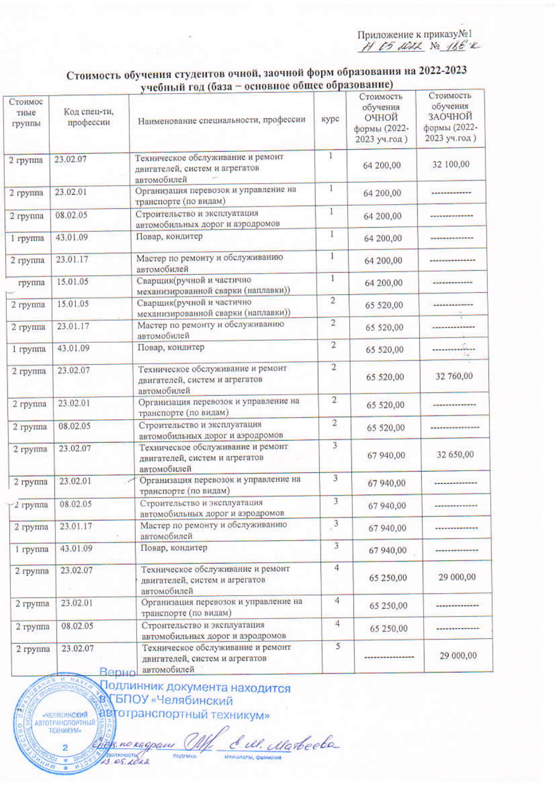Приложение к приказу№1<br> $H$  C5 MML № 186°

## Стоимость обучения студентов очной, заочной форм образования на 2022-2023 учебный год (база - основное общее образование)

| Стоимос<br>тные<br>группы | Код спец-ти,<br>профессии | $\frac{1}{2}$<br>Наименование специальности, профессии                             | курс           | Стоимость<br>обучения<br>очной<br>формы (2022-<br>2023 уч.год) | Стоимость<br>обучения<br>ЗАОЧНОЙ<br>формы (2022-<br>2023 уч.год) |
|---------------------------|---------------------------|------------------------------------------------------------------------------------|----------------|----------------------------------------------------------------|------------------------------------------------------------------|
| 2 группа                  | 23,02.07                  | Техническое обслуживание и ремонт<br>двигателей, систем и агрегатов<br>автомобилей | $\mathbf{1}$   | 64 200,00                                                      | 32 100,00                                                        |
| 2 группа                  | 23.02.01                  | Организация перевозок и управление на<br>транспорте (по видам)                     | $\overline{1}$ | 64 200,00                                                      | -------------                                                    |
| 2 группа                  | 08.02.05                  | Строительство и эксплуатация<br>автомобильных дорог и аэродромов                   | $\overline{1}$ | 64 200,00                                                      |                                                                  |
| 1 группа                  | 43.01.09                  | Повар, кондитер                                                                    | $\mathbf{I}$   | 64 200,00                                                      |                                                                  |
| 2 группа                  | 23.01.17                  | Мастер по ремонту и обслуживанию<br>автомобилей                                    | $\mathbf{I}$   | 64 200,00                                                      |                                                                  |
| группа                    | 15.01.05                  | Сварщик(ручной и частично<br>механизированной сварки (наплавки))                   | 1              | 64 200,00                                                      |                                                                  |
| 2 группа                  | 15.01.05                  | Сварщик(ручной и частично<br>механизированной сварки (наплавки))                   | $\overline{2}$ | 65 520,00                                                      |                                                                  |
| 2 группа                  | 23.01.17                  | Мастер по ремонту и обслуживанию<br>автомобилей                                    | $\overline{2}$ | 65 520,00                                                      |                                                                  |
| 1 rpynna                  | 43.01.09                  | Повар, кондитер                                                                    | $\overline{2}$ | 65 520,00                                                      | ------ <del>West</del>                                           |
| 2 группа                  | 23.02.07                  | Техническое обслуживание и ремонт<br>двигателей, систем и агрегатов<br>автомобилей | $\overline{2}$ | 65 520,00                                                      | 32 760,00                                                        |
| 2 группа                  | 23.02.01                  | Организация перевозок и управление на<br>транспорте (по видам)                     | $\overline{2}$ | 65 520,00                                                      |                                                                  |
| 2 группа                  | 08.02.05                  | Строительство и эксплуатация<br>автомобильных дорог и аэродромов                   | $\overline{2}$ | 65 520,00                                                      |                                                                  |
| 2 группа                  | 23.02.07                  | Техническое обслуживание и ремонт<br>двигателей, систем и агрегатов<br>автомобилей | $\overline{3}$ | 67 940,00                                                      | 32 650,00                                                        |
| 2 группа                  | 23.02.01                  | Организация перевозок и управление на<br>транспорте (по видам)                     | 3              | 67 940,00                                                      | the company's company's program and the                          |
| $\mathbb{Z}^2$ группа     | 08.02.05                  | Строительство и эксплуатация<br>автомобильных дорог и аэродромов                   | $\overline{3}$ | 67 940,00                                                      | -------------                                                    |
| $2$ rpynna                | 23.01.17                  | Мастер по ремонту и обслуживанию<br>автомобилей                                    | $\frac{3}{2}$  | 67 940,00                                                      |                                                                  |
| 1 группа                  | 43.01.09                  | Повар, кондитер                                                                    | 3              | 67 940,00                                                      |                                                                  |
| 2 группа                  | 23.02.07                  | Техническое обслуживание и ремонт<br>двигателей, систем и агрегатов<br>автомобилей | $\overline{4}$ | 65 250,00                                                      | 29 000,00                                                        |
| 2 группа                  | 23.02.01                  | Организация перевозок и управление на<br>транспорте (по видам)                     | $\overline{4}$ | 65 250,00                                                      |                                                                  |
| 2 группа                  | 08.02.05                  | Строительство и эксплуатация<br>автомобильных дорог и аэродромов                   | $\overline{4}$ | 65 250,00                                                      |                                                                  |
| 2 группа                  | 23.02.07<br>Renun         | Техническое обслуживание и ремонт<br>двигателей, систем и агрегатов<br>автомобилей | 5              | ---------------                                                | 29 000,00                                                        |

Подлинник документа находится В БПОУ «Челябинский автотранспортный техникум»

HEREHHCKHA ТЕХНИКУМ»

2

E. ul. Marbecha hels по кадрам 10,  $hence of *A* are$ подпись **Meridia**